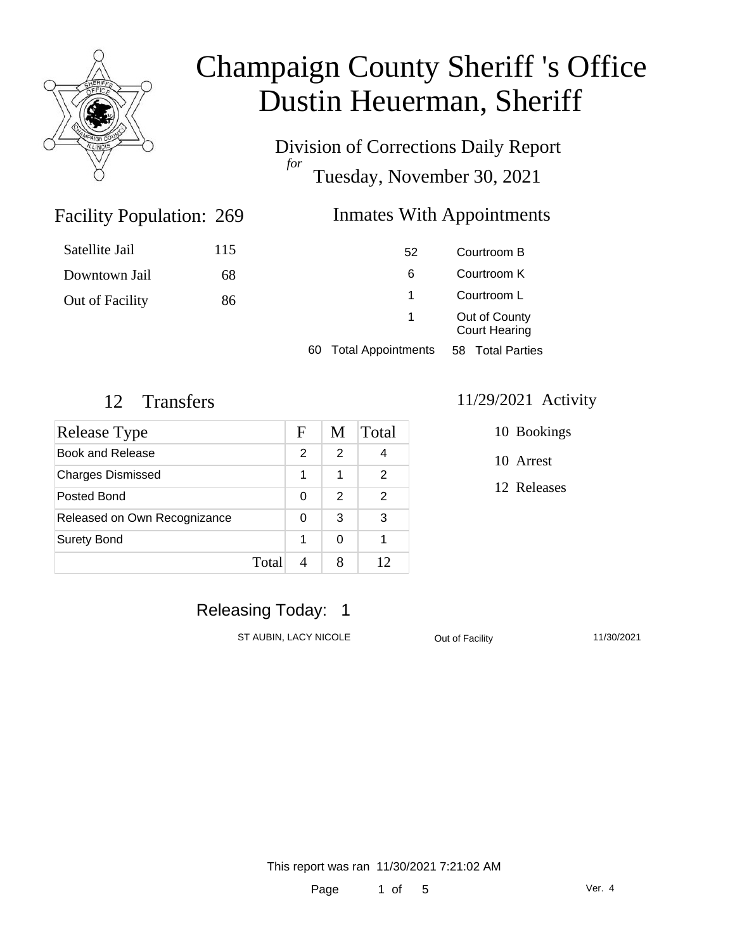

Division of Corrections Daily Report *for* Tuesday, November 30, 2021

### Inmates With Appointments

| Satellite Jail  | 115 | 52                              | Courtroom B                           |  |
|-----------------|-----|---------------------------------|---------------------------------------|--|
| Downtown Jail   | 68  | 6                               | Courtroom K                           |  |
| Out of Facility | 86  |                                 | Courtroom L                           |  |
|                 |     |                                 | Out of County<br><b>Court Hearing</b> |  |
|                 |     | <b>Total Appointments</b><br>60 | <b>Total Parties</b><br>58            |  |

Facility Population: 269

| Release Type                 | F | M | Total         |
|------------------------------|---|---|---------------|
| Book and Release             | 2 | 2 |               |
| <b>Charges Dismissed</b>     | 1 | 1 | $\mathcal{P}$ |
| Posted Bond                  | 0 | 2 | 2             |
| Released on Own Recognizance | O | 3 | 3             |
| <b>Surety Bond</b>           | 1 |   |               |
| Total                        |   |   |               |

#### 12 Transfers 11/29/2021 Activity

10 Bookings

10 Arrest

12 Releases

### Releasing Today: 1

ST AUBIN, LACY NICOLE **CONTACT OUT OUT OUT OUT OUT AUGHTY** 11/30/2021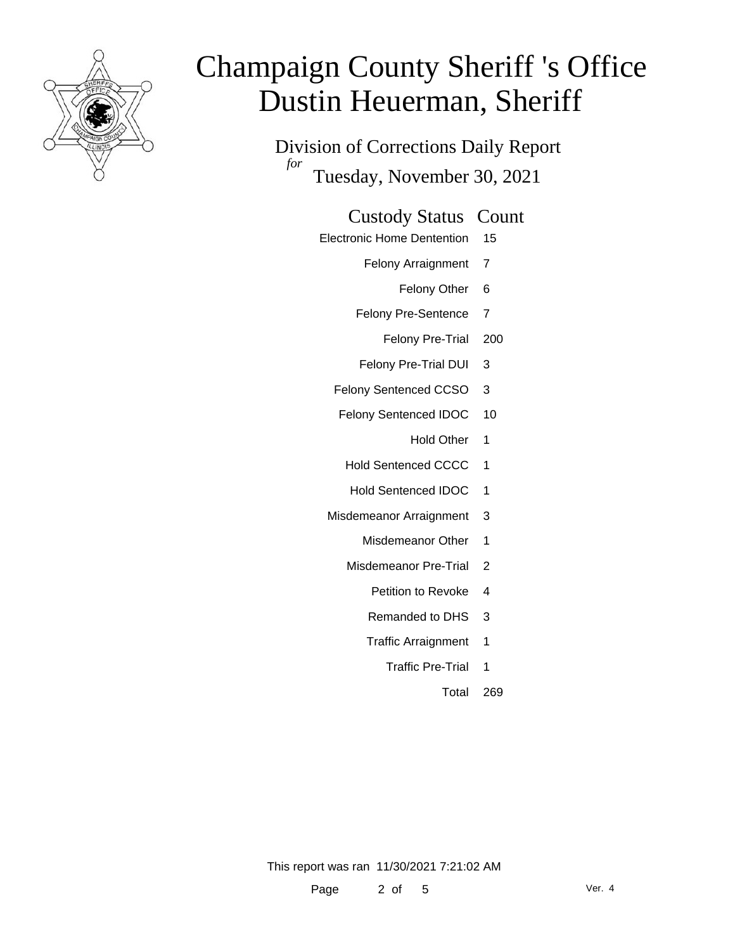

Division of Corrections Daily Report *for* Tuesday, November 30, 2021

#### Custody Status Count

- Electronic Home Dentention 15
	- Felony Arraignment 7
		- Felony Other 6
	- Felony Pre-Sentence 7
		- Felony Pre-Trial 200
	- Felony Pre-Trial DUI 3
	- Felony Sentenced CCSO 3
	- Felony Sentenced IDOC 10
		- Hold Other 1
		- Hold Sentenced CCCC 1
		- Hold Sentenced IDOC 1
	- Misdemeanor Arraignment 3
		- Misdemeanor Other 1
		- Misdemeanor Pre-Trial 2
			- Petition to Revoke 4
			- Remanded to DHS 3
			- Traffic Arraignment 1
				- Traffic Pre-Trial 1
					- Total 269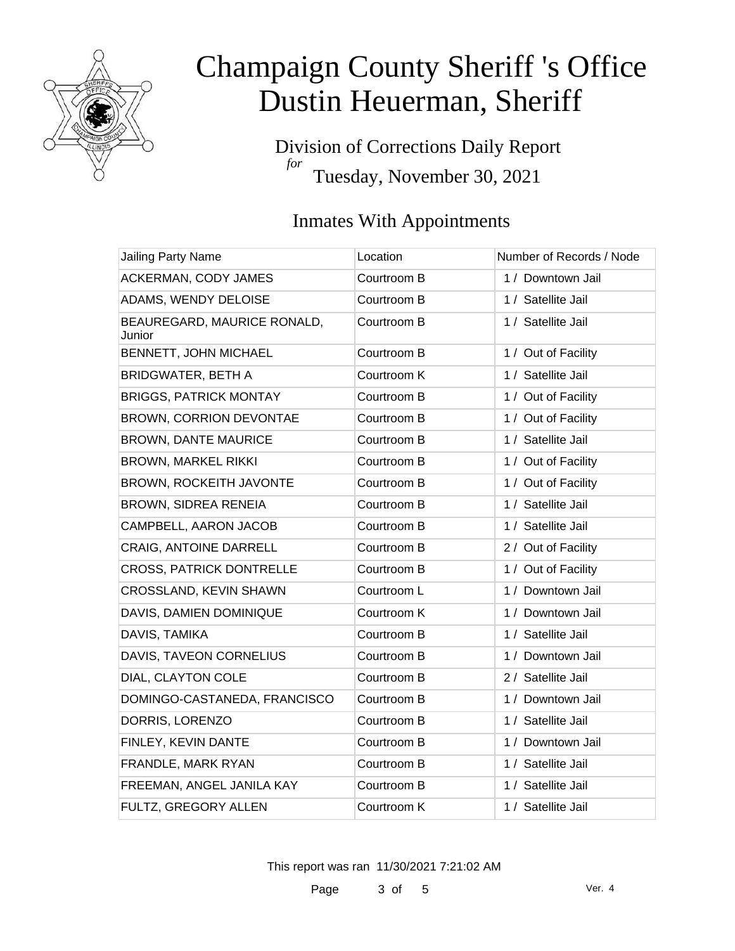

Division of Corrections Daily Report *for* Tuesday, November 30, 2021

### Inmates With Appointments

| Jailing Party Name                    | Location    | Number of Records / Node |
|---------------------------------------|-------------|--------------------------|
| ACKERMAN, CODY JAMES                  | Courtroom B | 1 / Downtown Jail        |
| ADAMS, WENDY DELOISE                  | Courtroom B | 1 / Satellite Jail       |
| BEAUREGARD, MAURICE RONALD,<br>Junior | Courtroom B | 1 / Satellite Jail       |
| BENNETT, JOHN MICHAEL                 | Courtroom B | 1 / Out of Facility      |
| <b>BRIDGWATER, BETH A</b>             | Courtroom K | 1 / Satellite Jail       |
| <b>BRIGGS, PATRICK MONTAY</b>         | Courtroom B | 1 / Out of Facility      |
| <b>BROWN, CORRION DEVONTAE</b>        | Courtroom B | 1 / Out of Facility      |
| <b>BROWN, DANTE MAURICE</b>           | Courtroom B | 1 / Satellite Jail       |
| <b>BROWN, MARKEL RIKKI</b>            | Courtroom B | 1 / Out of Facility      |
| <b>BROWN, ROCKEITH JAVONTE</b>        | Courtroom B | 1 / Out of Facility      |
| <b>BROWN, SIDREA RENEIA</b>           | Courtroom B | 1 / Satellite Jail       |
| CAMPBELL, AARON JACOB                 | Courtroom B | 1 / Satellite Jail       |
| CRAIG, ANTOINE DARRELL                | Courtroom B | 2 / Out of Facility      |
| <b>CROSS, PATRICK DONTRELLE</b>       | Courtroom B | 1 / Out of Facility      |
| CROSSLAND, KEVIN SHAWN                | Courtroom L | 1 / Downtown Jail        |
| DAVIS, DAMIEN DOMINIQUE               | Courtroom K | 1 / Downtown Jail        |
| DAVIS, TAMIKA                         | Courtroom B | 1 / Satellite Jail       |
| DAVIS, TAVEON CORNELIUS               | Courtroom B | 1 / Downtown Jail        |
| DIAL, CLAYTON COLE                    | Courtroom B | 2 / Satellite Jail       |
| DOMINGO-CASTANEDA, FRANCISCO          | Courtroom B | 1 / Downtown Jail        |
| DORRIS, LORENZO                       | Courtroom B | 1 / Satellite Jail       |
| FINLEY, KEVIN DANTE                   | Courtroom B | 1 / Downtown Jail        |
| FRANDLE, MARK RYAN                    | Courtroom B | 1 / Satellite Jail       |
| FREEMAN, ANGEL JANILA KAY             | Courtroom B | 1 / Satellite Jail       |
| FULTZ, GREGORY ALLEN                  | Courtroom K | 1 / Satellite Jail       |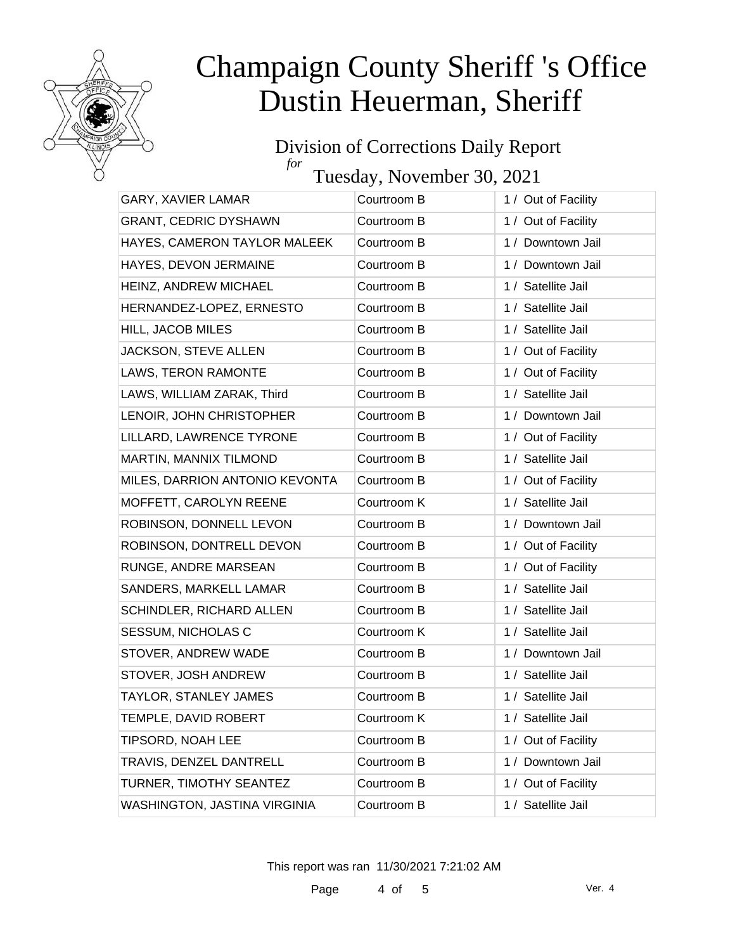

#### Division of Corrections Daily Report *for*

Tuesday, November 30, 2021

| GARY, XAVIER LAMAR             | Courtroom B | 1 / Out of Facility |
|--------------------------------|-------------|---------------------|
| <b>GRANT, CEDRIC DYSHAWN</b>   | Courtroom B | 1 / Out of Facility |
| HAYES, CAMERON TAYLOR MALEEK   | Courtroom B | 1 / Downtown Jail   |
| HAYES, DEVON JERMAINE          | Courtroom B | 1 / Downtown Jail   |
| HEINZ, ANDREW MICHAEL          | Courtroom B | 1 / Satellite Jail  |
| HERNANDEZ-LOPEZ, ERNESTO       | Courtroom B | 1 / Satellite Jail  |
| HILL, JACOB MILES              | Courtroom B | 1 / Satellite Jail  |
| JACKSON, STEVE ALLEN           | Courtroom B | 1 / Out of Facility |
| LAWS, TERON RAMONTE            | Courtroom B | 1 / Out of Facility |
| LAWS, WILLIAM ZARAK, Third     | Courtroom B | 1 / Satellite Jail  |
| LENOIR, JOHN CHRISTOPHER       | Courtroom B | 1 / Downtown Jail   |
| LILLARD, LAWRENCE TYRONE       | Courtroom B | 1 / Out of Facility |
| MARTIN, MANNIX TILMOND         | Courtroom B | 1 / Satellite Jail  |
| MILES, DARRION ANTONIO KEVONTA | Courtroom B |                     |
|                                |             | 1 / Out of Facility |
| MOFFETT, CAROLYN REENE         | Courtroom K | 1 / Satellite Jail  |
| ROBINSON, DONNELL LEVON        | Courtroom B | 1 / Downtown Jail   |
| ROBINSON, DONTRELL DEVON       | Courtroom B | 1 / Out of Facility |
| RUNGE, ANDRE MARSEAN           | Courtroom B | 1 / Out of Facility |
| SANDERS, MARKELL LAMAR         | Courtroom B | 1 / Satellite Jail  |
| SCHINDLER, RICHARD ALLEN       | Courtroom B | 1 / Satellite Jail  |
| SESSUM, NICHOLAS C             | Courtroom K | 1 / Satellite Jail  |
| STOVER, ANDREW WADE            | Courtroom B | 1 / Downtown Jail   |
| STOVER, JOSH ANDREW            | Courtroom B | 1 / Satellite Jail  |
| TAYLOR, STANLEY JAMES          | Courtroom B | 1 / Satellite Jail  |
| TEMPLE, DAVID ROBERT           | Courtroom K | 1 / Satellite Jail  |
| TIPSORD, NOAH LEE              | Courtroom B | 1 / Out of Facility |
| TRAVIS, DENZEL DANTRELL        | Courtroom B | 1 / Downtown Jail   |
| TURNER, TIMOTHY SEANTEZ        | Courtroom B | 1 / Out of Facility |
| WASHINGTON, JASTINA VIRGINIA   | Courtroom B | 1 / Satellite Jail  |
|                                |             |                     |